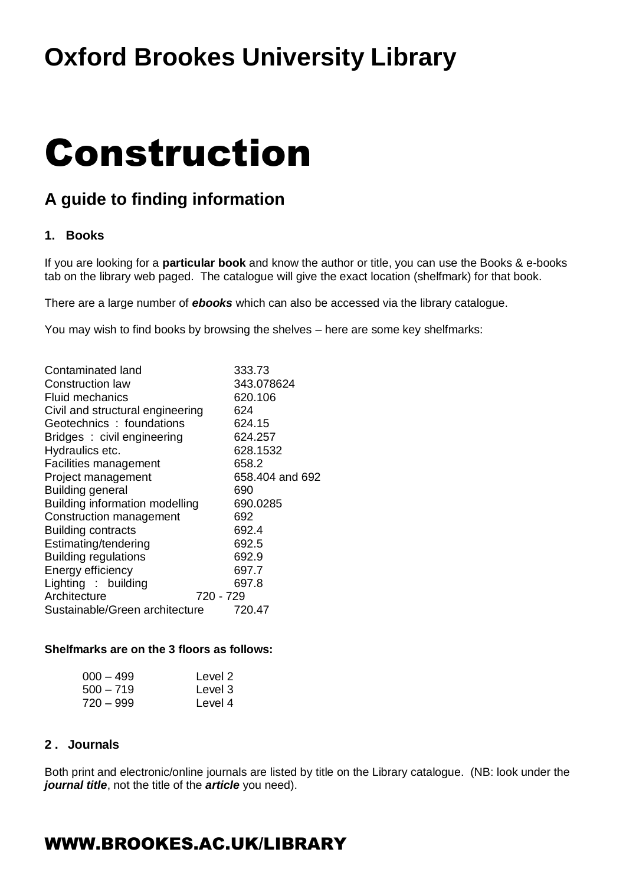## **Oxford Brookes University Library**

# Construction

## **A guide to finding information**

## **1. Books**

If you are looking for a **particular book** and know the author or title, you can use the Books & e-books tab on the library web paged. The catalogue will give the exact location (shelfmark) for that book.

There are a large number of *ebooks* which can also be accessed via the library catalogue.

You may wish to find books by browsing the shelves – here are some key shelfmarks:

| Contaminated land                | 333.73          |
|----------------------------------|-----------------|
| Construction law                 | 343.078624      |
| Fluid mechanics                  | 620.106         |
| Civil and structural engineering | 624             |
| Geotechnics: foundations         | 624.15          |
| Bridges: civil engineering       | 624.257         |
| Hydraulics etc.                  | 628.1532        |
| Facilities management            | 658.2           |
| Project management               | 658.404 and 692 |
| <b>Building general</b>          | 690             |
| Building information modelling   | 690.0285        |
| Construction management          | 692             |
| <b>Building contracts</b>        | 692.4           |
| Estimating/tendering             | 692.5           |
| <b>Building regulations</b>      | 692.9           |
| Energy efficiency                | 697.7           |
| Lighting : building              | 697.8           |
| Architecture                     | 720 - 729       |
| Sustainable/Green architecture   | 720.47          |

#### **Shelfmarks are on the 3 floors as follows:**

| 000 – 499 | Level 2 |
|-----------|---------|
| 500 – 719 | Level 3 |
| 720 – 999 | Level 4 |

### **2 . Journals**

Both print and electronic/online journals are listed by title on the Library catalogue. (NB: look under the *journal title*, not the title of the *article* you need).

## WWW.BROOKES.AC.UK/LIBRARY